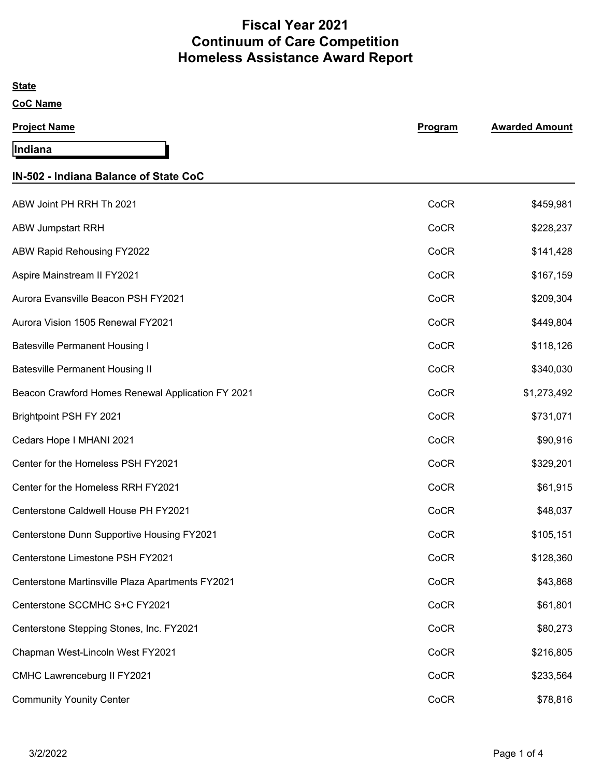# **Fiscal Year 2021 Continuum of Care Competition Homeless Assistance Award Report**

| <b>State</b>                                      |         |                       |
|---------------------------------------------------|---------|-----------------------|
| <b>CoC Name</b>                                   |         |                       |
| <b>Project Name</b>                               | Program | <b>Awarded Amount</b> |
| Indiana                                           |         |                       |
| IN-502 - Indiana Balance of State CoC             |         |                       |
| ABW Joint PH RRH Th 2021                          | CoCR    | \$459,981             |
| <b>ABW Jumpstart RRH</b>                          | CoCR    | \$228,237             |
| ABW Rapid Rehousing FY2022                        | CoCR    | \$141,428             |
| Aspire Mainstream II FY2021                       | CoCR    | \$167,159             |
| Aurora Evansville Beacon PSH FY2021               | CoCR    | \$209,304             |
| Aurora Vision 1505 Renewal FY2021                 | CoCR    | \$449,804             |
| <b>Batesville Permanent Housing I</b>             | CoCR    | \$118,126             |
| <b>Batesville Permanent Housing II</b>            | CoCR    | \$340,030             |
| Beacon Crawford Homes Renewal Application FY 2021 | CoCR    | \$1,273,492           |
| Brightpoint PSH FY 2021                           | CoCR    | \$731,071             |
| Cedars Hope I MHANI 2021                          | CoCR    | \$90,916              |
| Center for the Homeless PSH FY2021                | CoCR    | \$329,201             |
| Center for the Homeless RRH FY2021                | CoCR    | \$61,915              |
| Centerstone Caldwell House PH FY2021              | CoCR    | \$48,037              |
| Centerstone Dunn Supportive Housing FY2021        | CoCR    | \$105,151             |
| Centerstone Limestone PSH FY2021                  | CoCR    | \$128,360             |
| Centerstone Martinsville Plaza Apartments FY2021  | CoCR    | \$43,868              |
| Centerstone SCCMHC S+C FY2021                     | CoCR    | \$61,801              |
| Centerstone Stepping Stones, Inc. FY2021          | CoCR    | \$80,273              |
| Chapman West-Lincoln West FY2021                  | CoCR    | \$216,805             |
| CMHC Lawrenceburg II FY2021                       | CoCR    | \$233,564             |
| <b>Community Younity Center</b>                   | CoCR    | \$78,816              |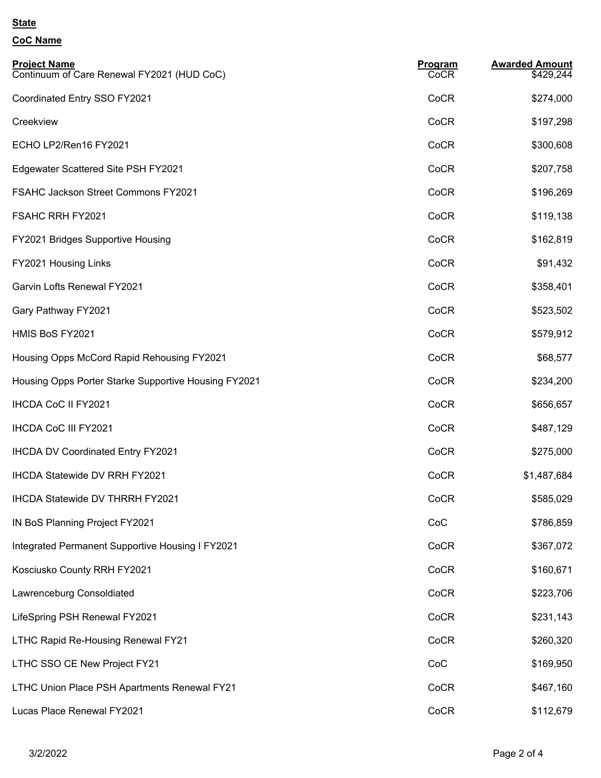#### **State**

## **CoC Name**

| <b>Project Name</b><br>Continuum of Care Renewal FY2021 (HUD CoC) | Program<br>CoCR | <b>Awarded Amount</b><br>\$429,244 |
|-------------------------------------------------------------------|-----------------|------------------------------------|
| Coordinated Entry SSO FY2021                                      | CoCR            | \$274,000                          |
| Creekview                                                         | CoCR            | \$197,298                          |
| ECHO LP2/Ren16 FY2021                                             | CoCR            | \$300,608                          |
| Edgewater Scattered Site PSH FY2021                               | CoCR            | \$207,758                          |
| FSAHC Jackson Street Commons FY2021                               | CoCR            | \$196,269                          |
| FSAHC RRH FY2021                                                  | CoCR            | \$119,138                          |
| FY2021 Bridges Supportive Housing                                 | CoCR            | \$162,819                          |
| FY2021 Housing Links                                              | CoCR            | \$91,432                           |
| Garvin Lofts Renewal FY2021                                       | CoCR            | \$358,401                          |
| Gary Pathway FY2021                                               | CoCR            | \$523,502                          |
| HMIS BoS FY2021                                                   | CoCR            | \$579,912                          |
| Housing Opps McCord Rapid Rehousing FY2021                        | CoCR            | \$68,577                           |
| Housing Opps Porter Starke Supportive Housing FY2021              | CoCR            | \$234,200                          |
| <b>IHCDA CoC II FY2021</b>                                        | CoCR            | \$656,657                          |
| <b>IHCDA CoC III FY2021</b>                                       | CoCR            | \$487,129                          |
| <b>IHCDA DV Coordinated Entry FY2021</b>                          | CoCR            | \$275,000                          |
| <b>IHCDA Statewide DV RRH FY2021</b>                              | CoCR            | \$1,487,684                        |
| IHCDA Statewide DV THRRH FY2021                                   | CoCR            | \$585,029                          |
| IN BoS Planning Project FY2021                                    | CoC             | \$786,859                          |
| Integrated Permanent Supportive Housing I FY2021                  | CoCR            | \$367,072                          |
| Kosciusko County RRH FY2021                                       | CoCR            | \$160,671                          |
| Lawrenceburg Consoldiated                                         | CoCR            | \$223,706                          |
| LifeSpring PSH Renewal FY2021                                     | CoCR            | \$231,143                          |
| LTHC Rapid Re-Housing Renewal FY21                                | CoCR            | \$260,320                          |
| LTHC SSO CE New Project FY21                                      | CoC             | \$169,950                          |
| LTHC Union Place PSH Apartments Renewal FY21                      | CoCR            | \$467,160                          |
| Lucas Place Renewal FY2021                                        | CoCR            | \$112,679                          |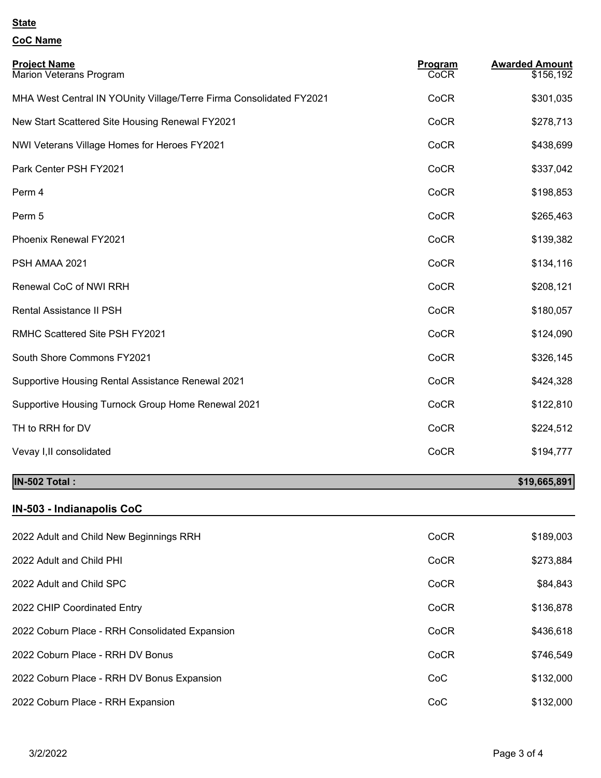#### **State**

## **CoC Name**

| <b>Project Name</b><br>Marion Veterans Program                      | Program<br>CoCR | <b>Awarded Amount</b><br>\$156,192 |
|---------------------------------------------------------------------|-----------------|------------------------------------|
| MHA West Central IN YOUnity Village/Terre Firma Consolidated FY2021 | CoCR            | \$301,035                          |
| New Start Scattered Site Housing Renewal FY2021                     | CoCR            | \$278,713                          |
| NWI Veterans Village Homes for Heroes FY2021                        | CoCR            | \$438,699                          |
| Park Center PSH FY2021                                              | CoCR            | \$337,042                          |
| Perm 4                                                              | CoCR            | \$198,853                          |
| Perm 5                                                              | CoCR            | \$265,463                          |
| Phoenix Renewal FY2021                                              | CoCR            | \$139,382                          |
| PSH AMAA 2021                                                       | CoCR            | \$134,116                          |
| Renewal CoC of NWI RRH                                              | CoCR            | \$208,121                          |
| Rental Assistance II PSH                                            | CoCR            | \$180,057                          |
| RMHC Scattered Site PSH FY2021                                      | CoCR            | \$124,090                          |
| South Shore Commons FY2021                                          | CoCR            | \$326,145                          |
| Supportive Housing Rental Assistance Renewal 2021                   | CoCR            | \$424,328                          |
| Supportive Housing Turnock Group Home Renewal 2021                  | CoCR            | \$122,810                          |
| TH to RRH for DV                                                    | CoCR            | \$224,512                          |
| Vevay I, II consolidated                                            | CoCR            | \$194,777                          |
|                                                                     |                 |                                    |

# **IN-502 Total : \$19,665,891**

## **IN-503 - Indianapolis CoC**

| 2022 Adult and Child New Beginnings RRH        | CoCR | \$189,003 |
|------------------------------------------------|------|-----------|
| 2022 Adult and Child PHI                       | CoCR | \$273,884 |
| 2022 Adult and Child SPC                       | CoCR | \$84,843  |
| 2022 CHIP Coordinated Entry                    | CoCR | \$136,878 |
| 2022 Coburn Place - RRH Consolidated Expansion | CoCR | \$436,618 |
| 2022 Coburn Place - RRH DV Bonus               | CoCR | \$746,549 |
| 2022 Coburn Place - RRH DV Bonus Expansion     | CoC  | \$132,000 |
| 2022 Coburn Place - RRH Expansion              | CoC  | \$132,000 |